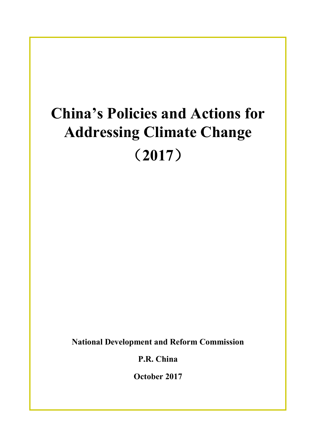# **China's Policies and Actions for Addressing Climate Change** (**2017**)

**National Development and Reform Commission**

**P.R. China**

**October 2017**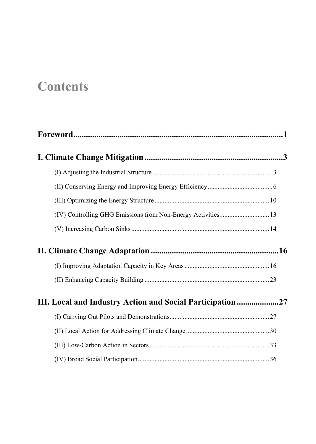## **Contents**

| $\textbf{For} \textbf{word} \textbf{.} \textbf{} \textbf{} \textbf{} \textbf{} \textbf{} \textbf{} \textbf{} \textbf{} \textbf{} \textbf{} \textbf{} \textbf{} \textbf{} \textbf{} \textbf{} \textbf{} \textbf{} \textbf{} \textbf{}$ |  |
|---------------------------------------------------------------------------------------------------------------------------------------------------------------------------------------------------------------------------------------|--|
|                                                                                                                                                                                                                                       |  |
|                                                                                                                                                                                                                                       |  |
|                                                                                                                                                                                                                                       |  |
|                                                                                                                                                                                                                                       |  |
|                                                                                                                                                                                                                                       |  |
|                                                                                                                                                                                                                                       |  |
|                                                                                                                                                                                                                                       |  |
|                                                                                                                                                                                                                                       |  |
|                                                                                                                                                                                                                                       |  |
| III. Local and Industry Action and Social Participation27                                                                                                                                                                             |  |
|                                                                                                                                                                                                                                       |  |
|                                                                                                                                                                                                                                       |  |
|                                                                                                                                                                                                                                       |  |
|                                                                                                                                                                                                                                       |  |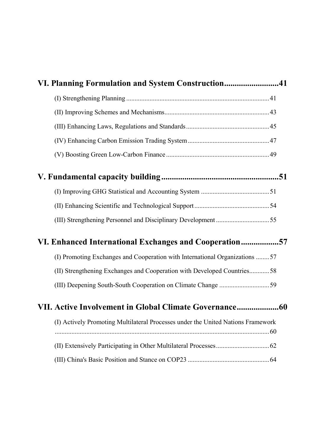| VI. Planning Formulation and System Construction41                               |
|----------------------------------------------------------------------------------|
|                                                                                  |
|                                                                                  |
|                                                                                  |
|                                                                                  |
|                                                                                  |
|                                                                                  |
|                                                                                  |
|                                                                                  |
|                                                                                  |
| VI. Enhanced International Exchanges and Cooperation57                           |
| (I) Promoting Exchanges and Cooperation with International Organizations 57      |
| (II) Strengthening Exchanges and Cooperation with Developed Countries58          |
|                                                                                  |
|                                                                                  |
| (I) Actively Promoting Multilateral Processes under the United Nations Framework |
|                                                                                  |
|                                                                                  |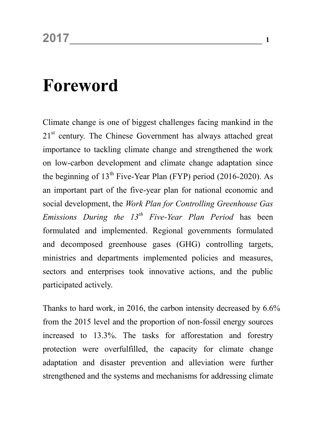## <span id="page-4-0"></span>**Foreword**

Climate change is one of biggest challenges facing mankind in the 21<sup>st</sup> century. The Chinese Government has always attached great importance to tackling climate change and strengthened the work on low-carbon development and climate change adaptation since the beginning of  $13<sup>th</sup>$  Five-Year Plan (FYP) period (2016-2020). As an important part of the five-year plan for national economic and social development, the *Work Plan for Controlling Greenhouse Gas Emissions During the 13th Five-Year Plan Period* has been formulated and implemented. Regional governments formulated and decomposed greenhouse gases (GHG) controlling targets, ministries and departments implemented policies and measures, sectors and enterprises took innovative actions, and the public participated actively.

Thanks to hard work, in 2016, the carbon intensity decreased by 6.6% from the 2015 level and the proportion of non-fossil energy sources increased to 13.3%. The tasks for afforestation and forestry protection were overfulfilled, the capacity for climate change adaptation and disaster prevention and alleviation were further strengthened and the systems and mechanisms for addressing climate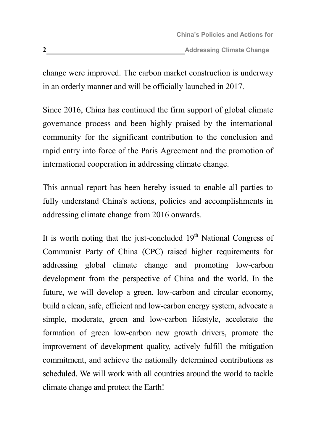change were improved. The carbon market construction is underway in an orderly manner and will be officially launched in 2017.

Since 2016, China has continued the firm support of global climate governance process and been highly praised by the international community for the significant contribution to the conclusion and rapid entry into force of the Paris Agreement and the promotion of international cooperation in addressing climate change.

This annual report has been hereby issued to enable all parties to fully understand China's actions, policies and accomplishments in addressing climate change from 2016 onwards.

It is worth noting that the just-concluded  $19<sup>th</sup>$  National Congress of Communist Party of China (CPC) raised higher requirements for addressing global climate change and promoting low-carbon development from the perspective of China and the world. In the future, we will develop a green, low-carbon and circular economy, build a clean, safe, efficient and low-carbon energy system, advocate a simple, moderate, green and low-carbon lifestyle, accelerate the formation of green low-carbon new growth drivers, promote the improvement of development quality, actively fulfill the mitigation commitment, and achieve the nationally determined contributions as scheduled. We will work with all countries around the world to tackle climate change and protect the Earth!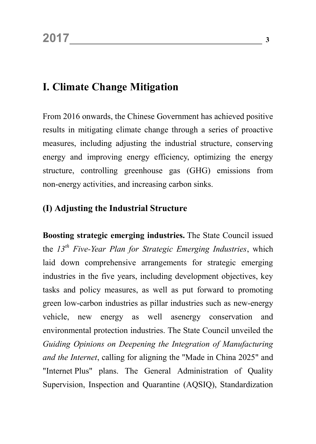## <span id="page-6-0"></span>**I. Climate Change Mitigation**

From 2016 onwards, the Chinese Government has achieved positive results in mitigating climate change through a series of proactive measures, including adjusting the industrial structure, conserving energy and improving energy efficiency, optimizing the energy structure, controlling greenhouse gas (GHG) emissions from non-energy activities, and increasing carbon sinks.

#### <span id="page-6-1"></span>**(I) Adjusting the Industrial Structure**

**Boosting strategic emerging industries.** The State Council issued the *13th Five-Year Plan for Strategic Emerging Industries*, which laid down comprehensive arrangements for strategic emerging industries in the five years, including development objectives, key tasks and policy measures, as well as put forward to promoting green low-carbon industries as pillar industries such as new-energy vehicle, new energy as well asenergy conservation and environmental protection industries. The State Council unveiled the *Guiding Opinions on Deepening the Integration of Manufacturing and the Internet*, calling for aligning the "Made in China 2025" and "Internet Plus" plans. The General Administration of Quality Supervision, Inspection and Quarantine (AQSIQ), Standardization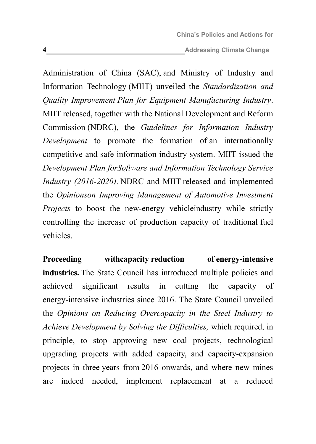**<sup>4</sup> Addressing Climate Change**

Administration of China (SAC), and Ministry of Industry and Information Technology (MIIT) unveiled the *Standardization and Quality Improvement Plan for Equipment Manufacturing Industry*. MIIT released, together with the National Development and Reform Commission (NDRC), the *Guidelines for Information Industry Development* to promote the formation of an internationally competitive and safe information industry system. MIIT issued the *Development Plan forSoftware and Information Technology Service Industry (2016-2020)*. NDRC and MIIT released and implemented the *Opinionson Improving Management of Automotive Investment Projects* to boost the new-energy vehicleindustry while strictly controlling the increase of production capacity of traditional fuel vehicles.

**Proceeding withcapacity reduction of energy-intensive industries.** The State Council has introduced multiple policies and achieved significant results in cutting the capacity of energy-intensive industries since 2016. The State Council unveiled the *Opinions on Reducing Overcapacity in the Steel Industry to Achieve Development by Solving the Difficulties,* which required, in principle, to stop approving new coal projects, technological upgrading projects with added capacity, and capacity-expansion projects in three years from 2016 onwards, and where new mines are indeed needed, implement replacement at a reduced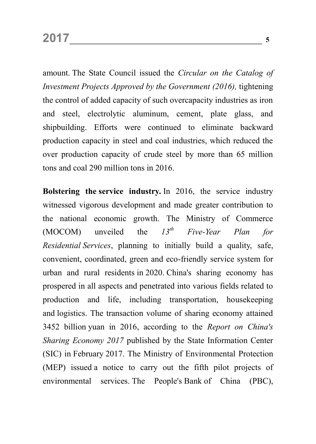amount. The State Council issued the *Circular on the Catalog of Investment Projects Approved by the Government (2016),* tightening the control of added capacity of such overcapacity industries as iron and steel, electrolytic aluminum, cement, plate glass, and shipbuilding. Efforts were continued to eliminate backward production capacity in steel and coal industries, which reduced the over production capacity of crude steel by more than 65 million tons and coal 290 million tons in 2016.

**Bolstering the service industry.** In 2016, the service industry witnessed vigorous development and made greater contribution to the national economic growth. The Ministry of Commerce (MOCOM) unveiled the *13th Five-Year Plan for Residential Services*, planning to initially build a quality, safe, convenient, coordinated, green and eco-friendly service system for urban and rural residents in 2020. China's sharing economy has prospered in all aspects and penetrated into various fields related to production and life, including transportation, housekeeping and logistics. The transaction volume of sharing economy attained 3452 billion yuan in 2016, according to the *Report on China's Sharing Economy 2017* published by the State Information Center (SIC) in February 2017. The Ministry of Environmental Protection (MEP) issued a notice to carry out the fifth pilot projects of environmental services. The People's Bank of China (PBC),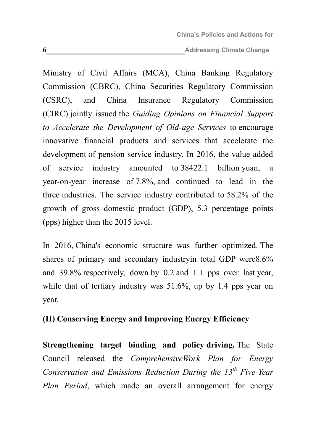**6 6 Addressing Climate Change** 

Ministry of Civil Affairs (MCA), China Banking Regulatory Commission (CBRC), China Securities Regulatory Commission (CSRC), and China Insurance Regulatory Commission (CIRC) jointly issued the *Guiding Opinions on Financial Support to Accelerate the Development of Old-age Services* to encourage innovative financial products and services that accelerate the development of pension service industry. In 2016, the value added of service industry amounted to 38422.1 billion yuan, a year-on-year increase of 7.8%, and continued to lead in the three industries. The service industry contributed to 58.2% of the growth of gross domestic product (GDP), 5.3 percentage points (pps) higher than the 2015 level.

In 2016, China's economic structure was further optimized. The shares of primary and secondary industryin total GDP were8.6% and 39.8% respectively, down by 0.2 and 1.1 pps over last year, while that of tertiary industry was 51.6%, up by 1.4 pps year on year.

#### <span id="page-9-0"></span>**(II) Conserving Energy and Improving Energy Efficiency**

**Strengthening target binding and policy driving.** The State Council released the *ComprehensiveWork Plan for Energy Conservation and Emissions Reduction During the 13th Five-Year Plan Period*, which made an overall arrangement for energy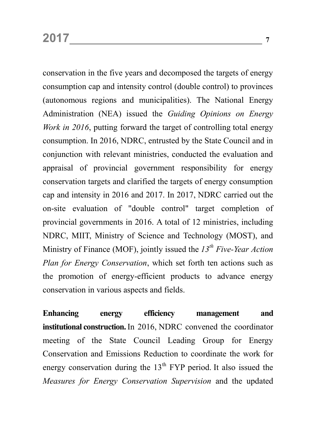conservation in the five years and decomposed the targets of energy consumption cap and intensity control (double control) to provinces (autonomous regions and municipalities). The National Energy Administration (NEA) issued the *Guiding Opinions on Energy Work in 2016*, putting forward the target of controlling total energy consumption. In 2016, NDRC, entrusted by the State Council and in conjunction with relevant ministries, conducted the evaluation and appraisal of provincial government responsibility for energy conservation targets and clarified the targets of energy consumption cap and intensity in 2016 and 2017. In 2017, NDRC carried out the on-site evaluation of "double control" target completion of provincial governments in 2016. A total of 12 ministries, including NDRC, MIIT, Ministry of Science and Technology (MOST), and Ministry of Finance (MOF), jointly issued the *13th Five-Year Action Plan for Energy Conservation*, which set forth ten actions such as the promotion of energy-efficient products to advance energy conservation in various aspects and fields.

**Enhancing energy efficiency management and institutional construction.**In 2016, NDRC convened the coordinator meeting of the State Council Leading Group for Energy Conservation and Emissions Reduction to coordinate the work for energy conservation during the  $13<sup>th</sup>$  FYP period. It also issued the *Measures for Energy Conservation Supervision* and the updated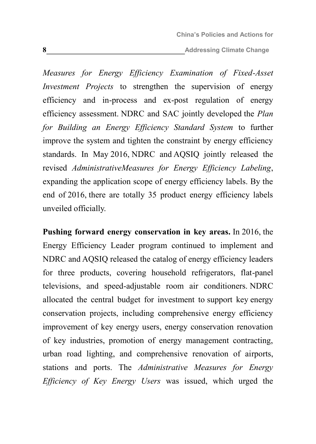**8 Addressing Climate Change 8 Addressing Climate Change** 

*Measures for Energy Efficiency Examination of Fixed-Asset Investment Projects* to strengthen the supervision of energy efficiency and in-process and ex-post regulation of energy efficiency assessment. NDRC and SAC jointly developed the *Plan for Building an Energy Efficiency Standard System* to further improve the system and tighten the constraint by energy efficiency standards. In May 2016, NDRC and AQSIQ jointly released the revised *AdministrativeMeasures for Energy Efficiency Labeling*, expanding the application scope of energy efficiency labels. By the end of 2016, there are totally 35 product energy efficiency labels unveiled officially.

**Pushing forward energy conservation in key areas.** In 2016, the Energy Efficiency Leader program continued to implement and NDRC and AQSIQ released the catalog of energy efficiency leaders for three products, covering household refrigerators, flat-panel televisions, and speed-adjustable room air conditioners. NDRC allocated the central budget for investment to support key energy conservation projects, including comprehensive energy efficiency improvement of key energy users, energy conservation renovation of key industries, promotion of energy management contracting, urban road lighting, and comprehensive renovation of airports, stations and ports. The *Administrative Measures for Energy Efficiency of Key Energy Users* was issued, which urged the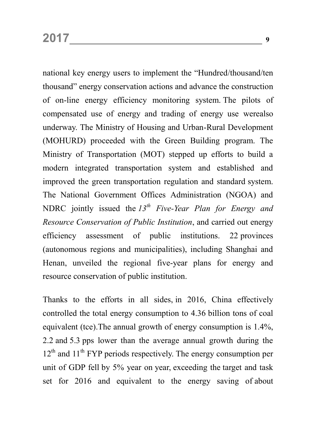national key energy users to implement the "Hundred/thousand/ten thousand" energy conservation actions and advance the construction of on-line energy efficiency monitoring system. The pilots of compensated use of energy and trading of energy use werealso underway. The Ministry of Housing and Urban-Rural Development (MOHURD) proceeded with the Green Building program. The Ministry of Transportation (MOT) stepped up efforts to build a modern integrated transportation system and established and improved the green transportation regulation and standard system. The National Government Offices Administration (NGOA) and NDRC jointly issued the *13th Five-Year Plan for Energy and Resource Conservation of Public Institution*, and carried out energy efficiency assessment of public institutions. 22 provinces (autonomous regions and municipalities), including Shanghai and Henan, unveiled the regional five-year plans for energy and resource conservation of public institution.

Thanks to the efforts in all sides, in 2016, China effectively controlled the total energy consumption to 4.36 billion tons of coal equivalent (tce).The annual growth of energy consumption is 1.4%, 2.2 and 5.3 pps lower than the average annual growth during the  $12<sup>th</sup>$  and  $11<sup>th</sup>$  FYP periods respectively. The energy consumption per unit of GDP fell by 5% year on year, exceeding the target and task set for 2016 and equivalent to the energy saving of about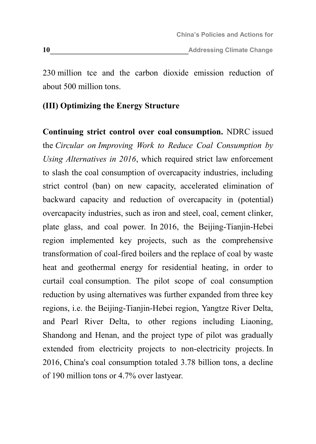230 million tce and the carbon dioxide emission reduction of about 500 million tons.

#### <span id="page-13-0"></span>**(III) Optimizing the Energy Structure**

**Continuing strict control over coal consumption.** NDRC issued the *Circular on Improving Work to Reduce Coal Consumption by Using Alternatives in 2016*, which required strict law enforcement to slash the coal consumption of overcapacity industries, including strict control (ban) on new capacity, accelerated elimination of backward capacity and reduction of overcapacity in (potential) overcapacity industries, such as iron and steel, coal, cement clinker, plate glass, and coal power. In 2016, the Beijing-Tianjin-Hebei region implemented key projects, such as the comprehensive transformation of coal-fired boilers and the replace of coal by waste heat and geothermal energy for residential heating, in order to curtail coal consumption. The pilot scope of coal consumption reduction by using alternatives was further expanded from three key regions, i.e. the Beijing-Tianjin-Hebei region, Yangtze River Delta, and Pearl River Delta, to other regions including Liaoning, Shandong and Henan, and the project type of pilot was gradually extended from electricity projects to non-electricity projects. In 2016, China's coal consumption totaled 3.78 billion tons, a decline of 190 million tons or 4.7% over lastyear.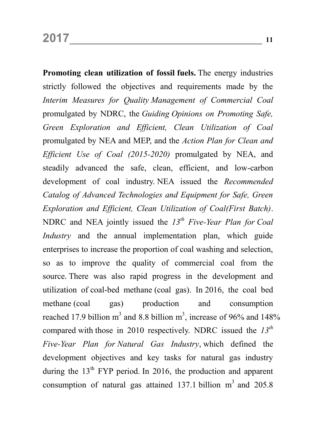**Promoting clean utilization of fossil fuels.** The energy industries strictly followed the objectives and requirements made by the *Interim Measures for Quality Management of Commercial Coal* promulgated by NDRC, the *Guiding Opinions on Promoting Safe, Green Exploration and Efficient, Clean Utilization of Coal* promulgated by NEA and MEP, and the *Action Plan for Clean and Efficient Use of Coal (2015-2020)* promulgated by NEA, and steadily advanced the safe, clean, efficient, and low-carbon development of coal industry. NEA issued the *Recommended Catalog of Advanced Technologies and Equipment for Safe, Green Exploration and Efficient, Clean Utilization of Coal(First Batch)*. NDRC and NEA jointly issued the *13th Five-Year Plan for Coal Industry* and the annual implementation plan, which guide enterprises to increase the proportion of coal washing and selection, so as to improve the quality of commercial coal from the source. There was also rapid progress in the development and utilization of coal-bed methane (coal gas). In 2016, the coal bed methane (coal gas) production and consumption reached 17.9 billion m<sup>3</sup> and 8.8 billion m<sup>3</sup>, increase of 96% and 148% compared with those in 2010 respectively. NDRC issued the *13th Five-Year Plan for Natural Gas Industry*, which defined the development objectives and key tasks for natural gas industry during the  $13<sup>th</sup>$  FYP period. In 2016, the production and apparent consumption of natural gas attained 137.1 billion  $m<sup>3</sup>$  and 205.8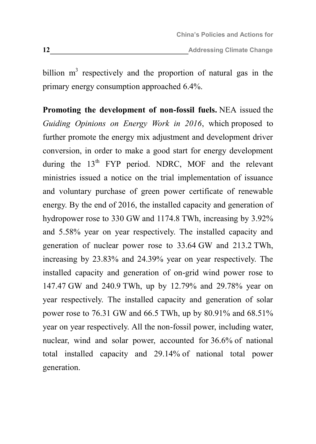billion  $m<sup>3</sup>$  respectively and the proportion of natural gas in the primary energy consumption approached 6.4%.

**Promoting the development of non-fossil fuels.** NEA issued the *Guiding Opinions on Energy Work in 2016*, which proposed to further promote the energy mix adjustment and development driver conversion, in order to make a good start for energy development during the  $13<sup>th</sup>$  FYP period. NDRC, MOF and the relevant ministries issued a notice on the trial implementation of issuance and voluntary purchase of green power certificate of renewable energy. By the end of 2016, the installed capacity and generation of hydropower rose to 330 GW and 1174.8 TWh, increasing by 3.92% and 5.58% year on year respectively. The installed capacity and generation of nuclear power rose to 33.64 GW and 213.2 TWh, increasing by 23.83% and 24.39% year on year respectively. The installed capacity and generation of on-grid wind power rose to 147.47 GW and 240.9 TWh, up by 12.79% and 29.78% year on year respectively. The installed capacity and generation of solar power rose to 76.31 GW and 66.5 TWh, up by 80.91% and 68.51% year on year respectively. All the non-fossil power, including water, nuclear, wind and solar power, accounted for 36.6% of national total installed capacity and 29.14% of national total power generation.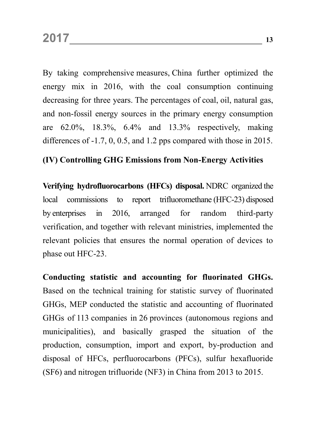By taking comprehensive measures, China further optimized the energy mix in 2016, with the coal consumption continuing decreasing for three years. The percentages of coal, oil, natural gas, and non-fossil energy sources in the primary energy consumption are 62.0%, 18.3%, 6.4% and 13.3% respectively, making differences of -1.7, 0, 0.5, and 1.2 pps compared with those in 2015.

#### <span id="page-16-0"></span>**(IV) Controlling GHG Emissions from Non-Energy Activities**

**Verifying hydrofluorocarbons (HFCs) disposal.** NDRC organized the local commissions to report trifluoromethane (HFC-23) disposed by enterprises in 2016, arranged for random third-party verification, and together with relevant ministries, implemented the relevant policies that ensures the normal operation of devices to phase out HFC-23.

**Conducting statistic and accounting for fluorinated GHGs.** Based on the technical training for statistic survey of fluorinated GHGs, MEP conducted the statistic and accounting of fluorinated GHGs of 113 companies in 26 provinces (autonomous regions and municipalities), and basically grasped the situation of the production, consumption, import and export, by-production and disposal of HFCs, perfluorocarbons (PFCs), sulfur hexafluoride (SF6) and nitrogen trifluoride (NF3) in China from 2013 to 2015.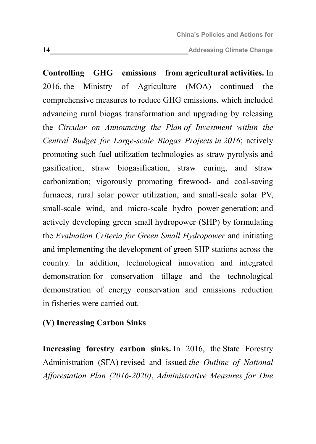**<sup>14</sup> Addressing Climate Change**

**Controlling GHG emissions from agricultural activities.** In 2016, the Ministry of Agriculture (MOA) continued the comprehensive measures to reduce GHG emissions, which included advancing rural biogas transformation and upgrading by releasing the *Circular on Announcing the Plan of Investment within the Central Budget for Large-scale Biogas Projects in 2016*; actively promoting such fuel utilization technologies as straw pyrolysis and gasification, straw biogasification, straw curing, and straw carbonization; vigorously promoting firewood- and coal-saving furnaces, rural solar power utilization, and small-scale solar PV, small-scale wind, and micro-scale hydro power generation; and actively developing green small hydropower (SHP) by formulating the *Evaluation Criteria for Green Small Hydropower* and initiating and implementing the development of green SHP stations across the country. In addition, technological innovation and integrated demonstration for conservation tillage and the technological demonstration of energy conservation and emissions reduction in fisheries were carried out.

#### <span id="page-17-0"></span>**(V) Increasing Carbon Sinks**

**Increasing forestry carbon sinks.** In 2016, the State Forestry Administration (SFA) revised and issued *the Outline of National Afforestation Plan (2016-2020)*, *Administrative Measures for Due*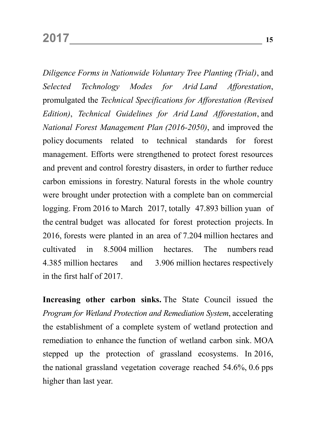*Diligence Forms in Nationwide Voluntary Tree Planting (Trial)*, and *Selected Technology Modes for Arid Land Afforestation*, promulgated the *Technical Specifications for Afforestation (Revised Edition)*, *Technical Guidelines for Arid Land Afforestation*, and *National Forest Management Plan (2016-2050)*, and improved the policy documents related to technical standards for forest management. Efforts were strengthened to protect forest resources and prevent and control forestry disasters, in order to further reduce carbon emissions in forestry. Natural forests in the whole country were brought under protection with a complete ban on commercial logging. From 2016 to March 2017, totally 47.893 billion yuan of the central budget was allocated for forest protection projects. In 2016, forests were planted in an area of 7.204 million hectares and cultivated in 8.5004 million hectares. The numbers read 4.385 million hectares and 3.906 million hectares respectively in the first half of 2017.

**Increasing other carbon sinks.** The State Council issued the *Program for Wetland Protection and Remediation System*, accelerating the establishment of a complete system of wetland protection and remediation to enhance the function of wetland carbon sink. MOA stepped up the protection of grassland ecosystems. In 2016, the national grassland vegetation coverage reached 54.6%, 0.6 pps higher than last year.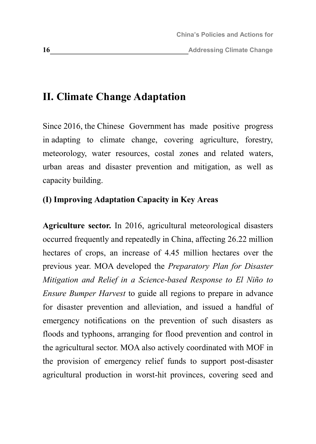## <span id="page-19-0"></span>**II. Climate Change Adaptation**

Since 2016, the Chinese Government has made positive progress in adapting to climate change, covering agriculture, forestry, meteorology, water resources, costal zones and related waters, urban areas and disaster prevention and mitigation, as well as capacity building.

#### <span id="page-19-1"></span>**(I) Improving Adaptation Capacity in Key Areas**

**Agriculture sector.** In 2016, agricultural meteorological disasters occurred frequently and repeatedly in China, affecting 26.22 million hectares of crops, an increase of 4.45 million hectares over the previous year. MOA developed the *Preparatory Plan for Disaster Mitigation and Relief in a Science-based Response to El Niño to Ensure Bumper Harvest* to guide all regions to prepare in advance for disaster prevention and alleviation, and issued a handful of emergency notifications on the prevention of such disasters as floods and typhoons, arranging for flood prevention and control in the agricultural sector. MOA also actively coordinated with MOF in the provision of emergency relief funds to support post-disaster agricultural production in worst-hit provinces, covering seed and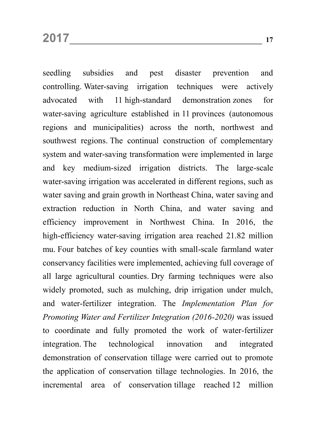seedling subsidies and pest disaster prevention and controlling. Water-saving irrigation techniques were actively advocated with 11 high-standard demonstration zones for water-saving agriculture established in 11 provinces (autonomous regions and municipalities) across the north, northwest and southwest regions. The continual construction of complementary system and water-saving transformation were implemented in large and key medium-sized irrigation districts. The large-scale water-saving irrigation was accelerated in different regions, such as water saving and grain growth in Northeast China, water saving and extraction reduction in North China, and water saving and efficiency improvement in Northwest China. In 2016, the high-efficiency water-saving irrigation area reached 21.82 million mu. Four batches of key counties with small-scale farmland water conservancy facilities were implemented, achieving full coverage of all large agricultural counties. Dry farming techniques were also widely promoted, such as mulching, drip irrigation under mulch, and water-fertilizer integration. The *Implementation Plan for Promoting Water and Fertilizer Integration (2016-2020)* was issued to coordinate and fully promoted the work of water-fertilizer integration. The technological innovation and integrated demonstration of conservation tillage were carried out to promote the application of conservation tillage technologies. In 2016, the incremental area of conservation tillage reached 12 million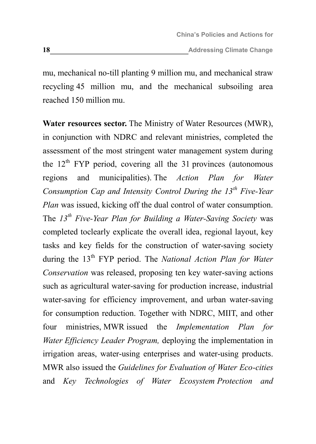mu, mechanical no-till planting 9 million mu, and mechanical straw recycling 45 million mu, and the mechanical subsoiling area reached 150 million mu.

**Water resources sector.** The Ministry of Water Resources (MWR), in conjunction with NDRC and relevant ministries, completed the assessment of the most stringent water management system during the  $12<sup>th</sup>$  FYP period, covering all the 31 provinces (autonomous regions and municipalities). The *Action Plan for Water Consumption Cap and Intensity Control During the 13th Five-Year Plan* was issued, kicking off the dual control of water consumption. The *13th Five-Year Plan for Building a Water-Saving Society* was completed toclearly explicate the overall idea, regional layout, key tasks and key fields for the construction of water-saving society during the 13<sup>th</sup> FYP period. The *National Action Plan for Water Conservation* was released, proposing ten key water-saving actions such as agricultural water-saving for production increase, industrial water-saving for efficiency improvement, and urban water-saving for consumption reduction. Together with NDRC, MIIT, and other four ministries, MWR issued the *Implementation Plan for Water Efficiency Leader Program,* deploying the implementation in irrigation areas, water-using enterprises and water-using products. MWR also issued the *Guidelines for Evaluation of Water Eco-cities* and *Key Technologies of Water Ecosystem Protection and*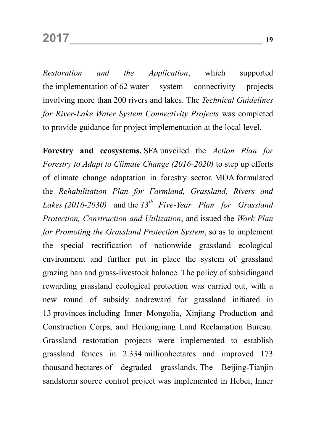*Restoration and the Application*, which supported the implementation of 62 water system connectivity projects involving more than 200 rivers and lakes. The *Technical Guidelines for River-Lake Water System Connectivity Projects* was completed to provide guidance for project implementation at the local level.

**Forestry and ecosystems.** SFA unveiled the *Action Plan for Forestry to Adapt to Climate Change (2016-2020)* to step up efforts of climate change adaptation in forestry sector. MOA formulated the *Rehabilitation Plan for Farmland, Grassland, Rivers and Lakes (2016-2030)* and the *13th Five-Year Plan for Grassland Protection, Construction and Utilization*, and issued the *Work Plan for Promoting the Grassland Protection System*, so as to implement the special rectification of nationwide grassland ecological environment and further put in place the system of grassland grazing ban and grass-livestock balance. The policy of subsidingand rewarding grassland ecological protection was carried out, with a new round of subsidy andreward for grassland initiated in 13 provinces including Inner Mongolia, Xinjiang Production and Construction Corps, and Heilongjiang Land Reclamation Bureau. Grassland restoration projects were implemented to establish grassland fences in 2.334 millionhectares and improved 173 thousand hectares of degraded grasslands. The Beijing-Tianjin sandstorm source control project was implemented in Hebei, Inner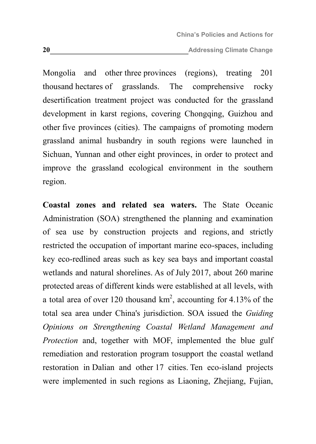**20 Addressing Climate Change** 

Mongolia and other three provinces (regions), treating 201 thousand hectares of grasslands. The comprehensive rocky desertification treatment project was conducted for the grassland development in karst regions, covering Chongqing, Guizhou and other five provinces (cities). The campaigns of promoting modern grassland animal husbandry in south regions were launched in Sichuan, Yunnan and other eight provinces, in order to protect and improve the grassland ecological environment in the southern region.

**Coastal zones and related sea waters.** The State Oceanic Administration (SOA) strengthened the planning and examination of sea use by construction projects and regions, and strictly restricted the occupation of important marine eco-spaces, including key eco-redlined areas such as key sea bays and important coastal wetlands and natural shorelines. As of July 2017, about 260 marine protected areas of different kinds were established at all levels, with a total area of over 120 thousand  $km^2$ , accounting for 4.13% of the total sea area under China's jurisdiction. SOA issued the *Guiding Opinions on Strengthening Coastal Wetland Management and Protection* and, together with MOF, implemented the blue gulf remediation and restoration program tosupport the coastal wetland restoration in Dalian and other 17 cities. Ten eco-island projects were implemented in such regions as Liaoning, Zhejiang, Fujian,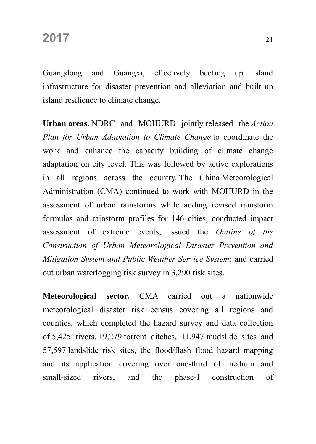Guangdong and Guangxi, effectively beefing up island infrastructure for disaster prevention and alleviation and built up island resilience to climate change.

**Urban areas.** NDRC and MOHURD jointly released the *Action Plan for Urban Adaptation to Climate Change* to coordinate the work and enhance the capacity building of climate change adaptation on city level. This was followed by active explorations in all regions across the country. The China Meteorological Administration (CMA) continued to work with MOHURD in the assessment of urban rainstorms while adding revised rainstorm formulas and rainstorm profiles for 146 cities; conducted impact assessment of extreme events; issued the *Outline of the Construction of Urban Meteorological Disaster Prevention and Mitigation System and Public Weather Service System*; and carried out urban waterlogging risk survey in 3,290 risk sites.

**Meteorological sector.** CMA carried out a nationwide meteorological disaster risk census covering all regions and counties, which completed the hazard survey and data collection of 5,425 rivers, 19,279 torrent ditches, 11,947 mudslide sites and 57,597 landslide risk sites, the flood/flash flood hazard mapping and its application covering over one-third of medium and small-sized rivers, and the phase-I construction of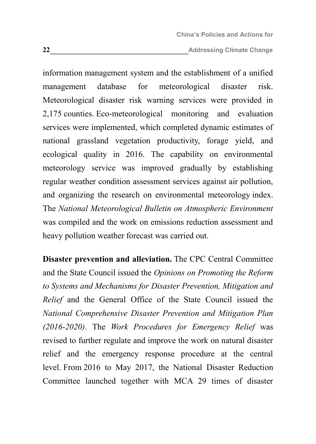**<sup>22</sup> Addressing Climate Change**

information management system and the establishment of a unified management database for meteorological disaster risk. Meteorological disaster risk warning services were provided in 2,175 counties. Eco-meteorological monitoring and evaluation services were implemented, which completed dynamic estimates of national grassland vegetation productivity, forage yield, and ecological quality in 2016. The capability on environmental meteorology service was improved gradually by establishing regular weather condition assessment services against air pollution, and organizing the research on environmental meteorology index. The *National Meteorological Bulletin on Atmospheric Environment* was compiled and the work on emissions reduction assessment and heavy pollution weather forecast was carried out.

**Disaster prevention and alleviation.** The CPC Central Committee and the State Council issued the *Opinions on Promoting the Reform to Systems and Mechanisms for Disaster Prevention, Mitigation and Relief* and the General Office of the State Council issued the *National Comprehensive Disaster Prevention and Mitigation Plan (2016-2020)*. The *Work Procedures for Emergency Relief* was revised to further regulate and improve the work on natural disaster relief and the emergency response procedure at the central level. From 2016 to May 2017, the National Disaster Reduction Committee launched together with MCA 29 times of disaster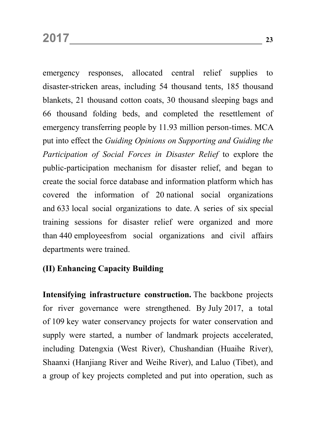emergency responses, allocated central relief supplies to disaster-stricken areas, including 54 thousand tents, 185 thousand blankets, 21 thousand cotton coats, 30 thousand sleeping bags and 66 thousand folding beds, and completed the resettlement of emergency transferring people by 11.93 million person-times. MCA put into effect the *Guiding Opinions on Supporting and Guiding the Participation of Social Forces in Disaster Relief* to explore the public-participation mechanism for disaster relief, and began to create the social force database and information platform which has covered the information of 20 national social organizations and 633 local social organizations to date. A series of six special training sessions for disaster relief were organized and more than 440 employeesfrom social organizations and civil affairs departments were trained.

#### <span id="page-26-0"></span>**(II) Enhancing Capacity Building**

**Intensifying infrastructure construction.** The backbone projects for river governance were strengthened. By July 2017, a total of 109 key water conservancy projects for water conservation and supply were started, a number of landmark projects accelerated, including Datengxia (West River), Chushandian (Huaihe River), Shaanxi (Hanjiang River and Weihe River), and Laluo (Tibet), and a group of key projects completed and put into operation, such as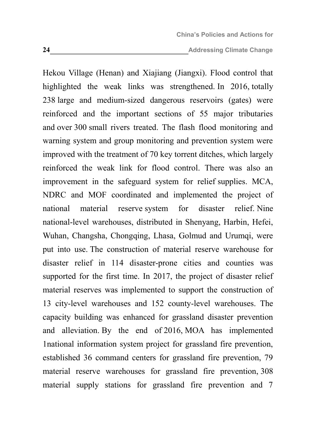Hekou Village (Henan) and Xiajiang (Jiangxi). Flood control that highlighted the weak links was strengthened. In 2016, totally 238 large and medium-sized dangerous reservoirs (gates) were reinforced and the important sections of 55 major tributaries and over 300 small rivers treated. The flash flood monitoring and warning system and group monitoring and prevention system were improved with the treatment of 70 key torrent ditches, which largely reinforced the weak link for flood control. There was also an improvement in the safeguard system for relief supplies. MCA, NDRC and MOF coordinated and implemented the project of national material reserve system for disaster relief. Nine national-level warehouses, distributed in Shenyang, Harbin, Hefei, Wuhan, Changsha, Chongqing, Lhasa, Golmud and Urumqi, were put into use. The construction of material reserve warehouse for disaster relief in 114 disaster-prone cities and counties was supported for the first time. In 2017, the project of disaster relief material reserves was implemented to support the construction of 13 city-level warehouses and 152 county-level warehouses. The capacity building was enhanced for grassland disaster prevention and alleviation. By the end of 2016, MOA has implemented 1national information system project for grassland fire prevention, established 36 command centers for grassland fire prevention, 79 material reserve warehouses for grassland fire prevention, 308 material supply stations for grassland fire prevention and 7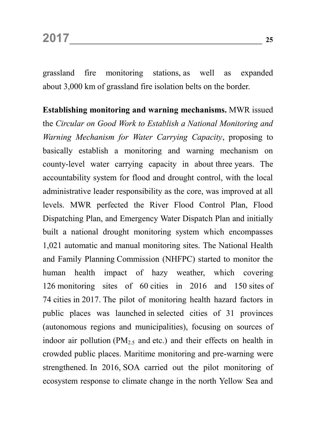grassland fire monitoring stations, as well as expanded about 3,000 km of grassland fire isolation belts on the border.

**Establishing monitoring and warning mechanisms.** MWR issued the *Circular on Good Work to Establish a National Monitoring and Warning Mechanism for Water Carrying Capacity*, proposing to basically establish a monitoring and warning mechanism on county-level water carrying capacity in about three years. The accountability system for flood and drought control, with the local administrative leader responsibility as the core, was improved at all levels. MWR perfected the River Flood Control Plan, Flood Dispatching Plan, and Emergency Water Dispatch Plan and initially built a national drought monitoring system which encompasses 1,021 automatic and manual monitoring sites. The National Health and Family Planning Commission (NHFPC) started to monitor the human health impact of hazy weather, which covering 126 monitoring sites of 60 cities in 2016 and 150 sites of 74 cities in 2017. The pilot of monitoring health hazard factors in public places was launched in selected cities of 31 provinces (autonomous regions and municipalities), focusing on sources of indoor air pollution ( $PM_{2.5}$  and etc.) and their effects on health in crowded public places. Maritime monitoring and pre-warning were strengthened. In 2016, SOA carried out the pilot monitoring of ecosystem response to climate change in the north Yellow Sea and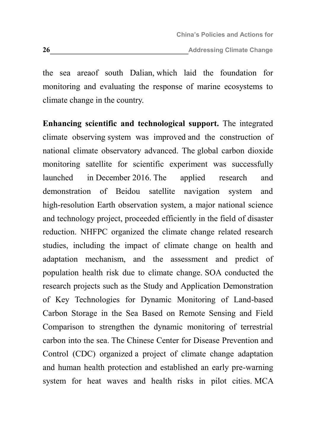the sea areaof south Dalian, which laid the foundation for monitoring and evaluating the response of marine ecosystems to climate change in the country.

**Enhancing scientific and technological support.** The integrated climate observing system was improved and the construction of national climate observatory advanced. The global carbon dioxide monitoring satellite for scientific experiment was successfully launched in December 2016. The applied research and demonstration of Beidou satellite navigation system and high-resolution Earth observation system, a major national science and technology project, proceeded efficiently in the field of disaster reduction. NHFPC organized the climate change related research studies, including the impact of climate change on health and adaptation mechanism, and the assessment and predict of population health risk due to climate change. SOA conducted the research projects such as the Study and Application Demonstration of Key Technologies for Dynamic Monitoring of Land-based Carbon Storage in the Sea Based on Remote Sensing and Field Comparison to strengthen the dynamic monitoring of terrestrial carbon into the sea. The Chinese Center for Disease Prevention and Control (CDC) organized a project of climate change adaptation and human health protection and established an early pre-warning system for heat waves and health risks in pilot cities. MCA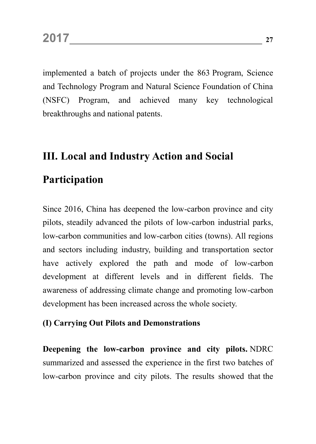implemented a batch of projects under the 863 Program, Science and Technology Program and Natural Science Foundation of China (NSFC) Program, and achieved many key technological breakthroughs and national patents.

## <span id="page-30-0"></span>**III. Local and Industry Action and Social**

### **Participation**

Since 2016, China has deepened the low-carbon province and city pilots, steadily advanced the pilots of low-carbon industrial parks, low-carbon communities and low-carbon cities (towns). All regions and sectors including industry, building and transportation sector have actively explored the path and mode of low-carbon development at different levels and in different fields. The awareness of addressing climate change and promoting low-carbon development has been increased across the whole society.

#### <span id="page-30-1"></span>**(I) Carrying Out Pilots and Demonstrations**

**Deepening the low-carbon province and city pilots.** NDRC summarized and assessed the experience in the first two batches of low-carbon province and city pilots. The results showed that the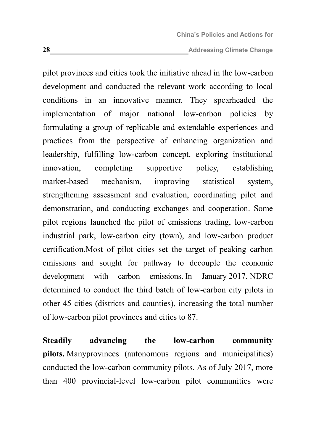**28 Addressing Climate Change** 

pilot provinces and cities took the initiative ahead in the low-carbon development and conducted the relevant work according to local conditions in an innovative manner. They spearheaded the implementation of major national low-carbon policies by formulating a group of replicable and extendable experiences and practices from the perspective of enhancing organization and leadership, fulfilling low-carbon concept, exploring institutional innovation, completing supportive policy, establishing market-based mechanism, improving statistical system, strengthening assessment and evaluation, coordinating pilot and demonstration, and conducting exchanges and cooperation. Some pilot regions launched the pilot of emissions trading, low-carbon industrial park, low-carbon city (town), and low-carbon product certification.Most of pilot cities set the target of peaking carbon emissions and sought for pathway to decouple the economic development with carbon emissions. In January 2017, NDRC determined to conduct the third batch of low-carbon city pilots in other 45 cities (districts and counties), increasing the total number of low-carbon pilot provinces and cities to 87.

**Steadily advancing the low-carbon community pilots.** Manyprovinces (autonomous regions and municipalities) conducted the low-carbon community pilots. As of July 2017, more than 400 provincial-level low-carbon pilot communities were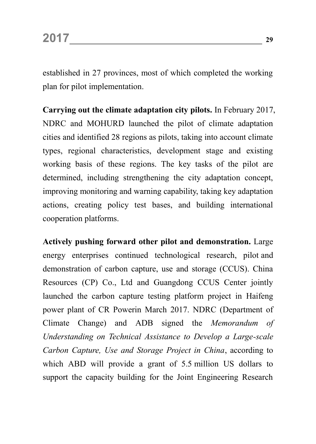established in 27 provinces, most of which completed the working plan for pilot implementation.

**Carrying out the climate adaptation city pilots.** In February 2017, NDRC and MOHURD launched the pilot of climate adaptation cities and identified 28 regions as pilots, taking into account climate types, regional characteristics, development stage and existing working basis of these regions. The key tasks of the pilot are determined, including strengthening the city adaptation concept, improving monitoring and warning capability, taking key adaptation actions, creating policy test bases, and building international cooperation platforms.

**Actively pushing forward other pilot and demonstration.** Large energy enterprises continued technological research, pilot and demonstration of carbon capture, use and storage (CCUS). China Resources (CP) Co., Ltd and Guangdong CCUS Center jointly launched the carbon capture testing platform project in Haifeng power plant of CR Powerin March 2017. NDRC (Department of Climate Change) and ADB signed the *Memorandum of Understanding on Technical Assistance to Develop a Large-scale Carbon Capture, Use and Storage Project in China*, according to which ABD will provide a grant of 5.5 million US dollars to support the capacity building for the Joint Engineering Research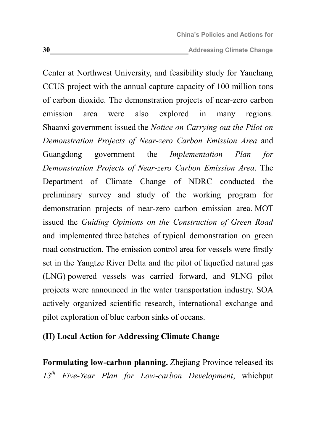**30 Addressing Climate Change** 

Center at Northwest University, and feasibility study for Yanchang CCUS project with the annual capture capacity of 100 million tons of carbon dioxide. The demonstration projects of near-zero carbon emission area were also explored in many regions. Shaanxi government issued the *Notice on Carrying out the Pilot on Demonstration Projects of Near-zero Carbon Emission Area* and Guangdong government the *Implementation Plan for Demonstration Projects of Near-zero Carbon Emission Area*. The Department of Climate Change of NDRC conducted the preliminary survey and study of the working program for demonstration projects of near-zero carbon emission area. MOT issued the *Guiding Opinions on the Construction of Green Road* and implemented three batches of typical demonstration on green road construction. The emission control area for vessels were firstly set in the Yangtze River Delta and the pilot of liquefied natural gas (LNG) powered vessels was carried forward, and 9LNG pilot projects were announced in the water transportation industry. SOA actively organized scientific research, international exchange and pilot exploration of blue carbon sinks of oceans.

#### <span id="page-33-0"></span>**(II) Local Action for Addressing Climate Change**

**Formulating low-carbon planning.** Zhejiang Province released its *13th Five-Year Plan for Low-carbon Development*, whichput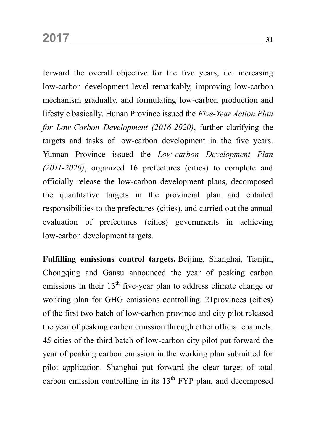forward the overall objective for the five years, i.e. increasing low-carbon development level remarkably, improving low-carbon mechanism gradually, and formulating low-carbon production and lifestyle basically. Hunan Province issued the *Five-Year Action Plan for Low-Carbon Development (2016-2020)*, further clarifying the targets and tasks of low-carbon development in the five years. Yunnan Province issued the *Low-carbon Development Plan (2011-2020)*, organized 16 prefectures (cities) to complete and officially release the low-carbon development plans, decomposed the quantitative targets in the provincial plan and entailed responsibilities to the prefectures (cities), and carried out the annual evaluation of prefectures (cities) governments in achieving low-carbon development targets.

**Fulfilling emissions control targets.** Beijing, Shanghai, Tianjin, Chongqing and Gansu announced the year of peaking carbon emissions in their  $13<sup>th</sup>$  five-year plan to address climate change or working plan for GHG emissions controlling. 21provinces (cities) of the first two batch of low-carbon province and city pilot released the year of peaking carbon emission through other official channels. 45 cities of the third batch of low-carbon city pilot put forward the year of peaking carbon emission in the working plan submitted for pilot application. Shanghai put forward the clear target of total carbon emission controlling in its  $13<sup>th</sup>$  FYP plan, and decomposed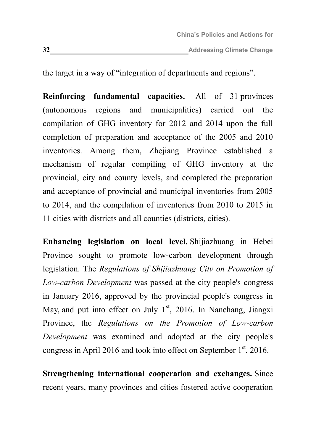the target in a way of "integration of departments and regions".

**Reinforcing fundamental capacities.** All of 31 provinces (autonomous regions and municipalities) carried out the compilation of GHG inventory for 2012 and 2014 upon the full completion of preparation and acceptance of the 2005 and 2010 inventories. Among them, Zhejiang Province established a mechanism of regular compiling of GHG inventory at the provincial, city and county levels, and completed the preparation and acceptance of provincial and municipal inventories from 2005 to 2014, and the compilation of inventories from 2010 to 2015 in 11 cities with districts and all counties (districts, cities).

**Enhancing legislation on local level.** Shijiazhuang in Hebei Province sought to promote low-carbon development through legislation. The *Regulations of Shijiazhuang City on Promotion of Low-carbon Development* was passed at the city people's congress in January 2016, approved by the provincial people's congress in May, and put into effect on July  $1<sup>st</sup>$ , 2016. In Nanchang, Jiangxi Province, the *Regulations on the Promotion of Low-carbon Development* was examined and adopted at the city people's congress in April 2016 and took into effect on September  $1<sup>st</sup>$ , 2016.

**Strengthening international cooperation and exchanges.** Since recent years, many provinces and cities fostered active cooperation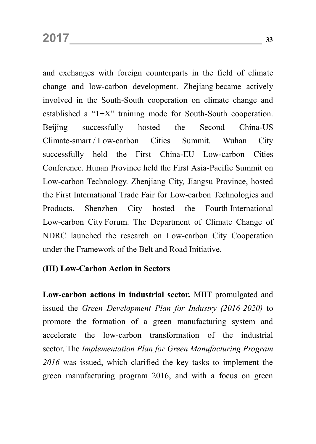and exchanges with foreign counterparts in the field of climate change and low-carbon development. Zhejiang became actively involved in the South-South cooperation on climate change and established a "1+X" training mode for South-South cooperation. Beijing successfully hosted the Second China-US Climate-smart / Low-carbon Cities Summit. Wuhan City successfully held the First China-EU Low-carbon Cities Conference. Hunan Province held the First Asia-Pacific Summit on Low-carbon Technology. Zhenjiang City, Jiangsu Province, hosted the First International Trade Fair for Low-carbon Technologies and Products. Shenzhen City hosted the Fourth International Low-carbon City Forum. The Department of Climate Change of NDRC launched the research on Low-carbon City Cooperation under the Framework of the Belt and Road Initiative.

#### **(III) Low-Carbon Action in Sectors**

**Low-carbon actions in industrial sector.** MIIT promulgated and issued the *Green Development Plan for Industry (2016-2020)* to promote the formation of a green manufacturing system and accelerate the low-carbon transformation of the industrial sector. The *Implementation Plan for Green Manufacturing Program 2016* was issued, which clarified the key tasks to implement the green manufacturing program 2016, and with a focus on green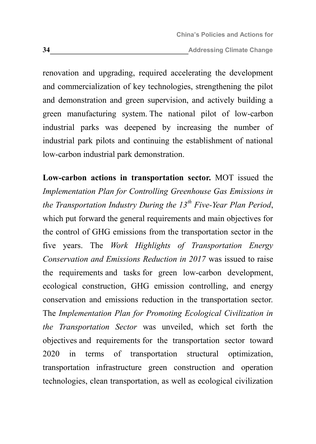renovation and upgrading, required accelerating the development and commercialization of key technologies, strengthening the pilot and demonstration and green supervision, and actively building a green manufacturing system. The national pilot of low-carbon industrial parks was deepened by increasing the number of industrial park pilots and continuing the establishment of national low-carbon industrial park demonstration.

**Low-carbon actions in transportation sector.** MOT issued the *Implementation Plan for Controlling Greenhouse Gas Emissions in the Transportation Industry During the 13th Five-Year Plan Period*, which put forward the general requirements and main objectives for the control of GHG emissions from the transportation sector in the five years. The *Work Highlights of Transportation Energy Conservation and Emissions Reduction in 2017* was issued to raise the requirements and tasks for green low-carbon development, ecological construction, GHG emission controlling, and energy conservation and emissions reduction in the transportation sector. The *Implementation Plan for Promoting Ecological Civilization in the Transportation Sector* was unveiled, which set forth the objectives and requirements for the transportation sector toward 2020 in terms of transportation structural optimization, transportation infrastructure green construction and operation technologies, clean transportation, as well as ecological civilization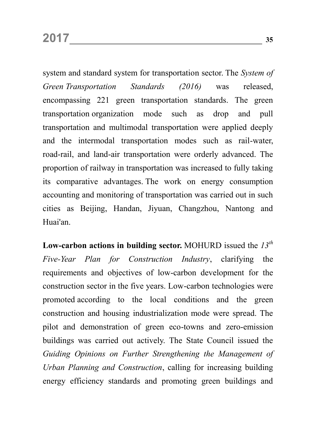system and standard system for transportation sector. The *System of Green Transportation Standards (2016)* was released, encompassing 221 green transportation standards. The green transportation organization mode such as drop and pull transportation and multimodal transportation were applied deeply and the intermodal transportation modes such as rail-water, road-rail, and land-air transportation were orderly advanced. The proportion of railway in transportation was increased to fully taking its comparative advantages. The work on energy consumption accounting and monitoring of transportation was carried out in such cities as Beijing, Handan, Jiyuan, Changzhou, Nantong and Huai'an.

**Low-carbon actions in building sector.** MOHURD issued the *13th Five-Year Plan for Construction Industry*, clarifying the requirements and objectives of low-carbon development for the construction sector in the five years. Low-carbon technologies were promoted according to the local conditions and the green construction and housing industrialization mode were spread. The pilot and demonstration of green eco-towns and zero-emission buildings was carried out actively. The State Council issued the *Guiding Opinions on Further Strengthening the Management of Urban Planning and Construction*, calling for increasing building energy efficiency standards and promoting green buildings and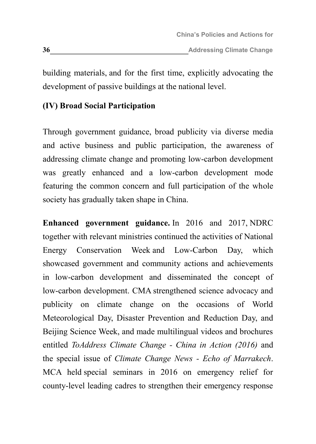building materials, and for the first time, explicitly advocating the development of passive buildings at the national level.

### **(IV) Broad Social Participation**

Through government guidance, broad publicity via diverse media and active business and public participation, the awareness of addressing climate change and promoting low-carbon development was greatly enhanced and a low-carbon development mode featuring the common concern and full participation of the whole society has gradually taken shape in China.

**Enhanced government guidance.** In 2016 and 2017, NDRC together with relevant ministries continued the activities of National Energy Conservation Week and Low-Carbon Day, which showcased government and community actions and achievements in low-carbon development and disseminated the concept of low-carbon development. CMA strengthened science advocacy and publicity on climate change on the occasions of World Meteorological Day, Disaster Prevention and Reduction Day, and Beijing Science Week, and made multilingual videos and brochures entitled *ToAddress Climate Change - China in Action (2016)* and the special issue of *Climate Change News - Echo of Marrakech*. MCA held special seminars in 2016 on emergency relief for county-level leading cadres to strengthen their emergency response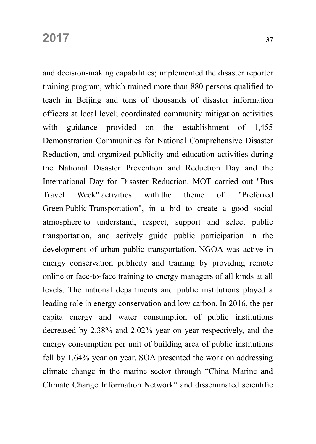and decision-making capabilities; implemented the disaster reporter training program, which trained more than 880 persons qualified to teach in Beijing and tens of thousands of disaster information officers at local level; coordinated community mitigation activities with guidance provided on the establishment of 1,455 Demonstration Communities for National Comprehensive Disaster Reduction, and organized publicity and education activities during the National Disaster Prevention and Reduction Day and the International Day for Disaster Reduction. MOT carried out "Bus Travel Week" activities with the theme of "Preferred Green Public Transportation", in a bid to create a good social atmosphere to understand, respect, support and select public transportation, and actively guide public participation in the development of urban public transportation. NGOA was active in energy conservation publicity and training by providing remote online or face-to-face training to energy managers of all kinds at all levels. The national departments and public institutions played a leading role in energy conservation and low carbon. In 2016, the per capita energy and water consumption of public institutions decreased by 2.38% and 2.02% year on year respectively, and the energy consumption per unit of building area of public institutions fell by 1.64% year on year. SOA presented the work on addressing climate change in the marine sector through "China Marine and Climate Change Information Network" and disseminated scientific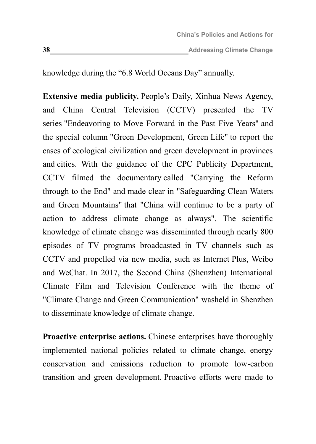knowledge during the "6.8 World Oceans Day" annually.

**Extensive media publicity.** People's Daily, Xinhua News Agency, and China Central Television (CCTV) presented the TV series "Endeavoring to Move Forward in the Past Five Years" and the special column "Green Development, Green Life" to report the cases of ecological civilization and green development in provinces and cities. With the guidance of the CPC Publicity Department, CCTV filmed the documentary called "Carrying the Reform through to the End" and made clear in "Safeguarding Clean Waters and Green Mountains" that "China will continue to be a party of action to address climate change as always". The scientific knowledge of climate change was disseminated through nearly 800 episodes of TV programs broadcasted in TV channels such as CCTV and propelled via new media, such as Internet Plus, Weibo and WeChat. In 2017, the Second China (Shenzhen) International Climate Film and Television Conference with the theme of "Climate Change and Green Communication" washeld in Shenzhen to disseminate knowledge of climate change.

**Proactive enterprise actions.** Chinese enterprises have thoroughly implemented national policies related to climate change, energy conservation and emissions reduction to promote low-carbon transition and green development. Proactive efforts were made to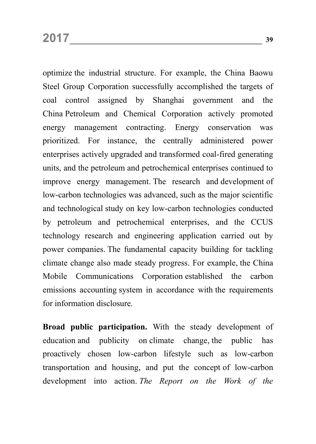optimize the industrial structure. For example, the China Baowu Steel Group Corporation successfully accomplished the targets of coal control assigned by Shanghai government and the China Petroleum and Chemical Corporation actively promoted energy management contracting. Energy conservation was prioritized. For instance, the centrally administered power enterprises actively upgraded and transformed coal-fired generating units, and the petroleum and petrochemical enterprises continued to improve energy management. The research and development of low-carbon technologies was advanced, such as the major scientific and technological study on key low-carbon technologies conducted by petroleum and petrochemical enterprises, and the CCUS technology research and engineering application carried out by power companies. The fundamental capacity building for tackling climate change also made steady progress. For example, the China Mobile Communications Corporation established the carbon emissions accounting system in accordance with the requirements for information disclosure.

**Broad public participation.** With the steady development of education and publicity on climate change, the public has proactively chosen low-carbon lifestyle such as low-carbon transportation and housing, and put the concept of low-carbon development into action. *The Report on the Work of the*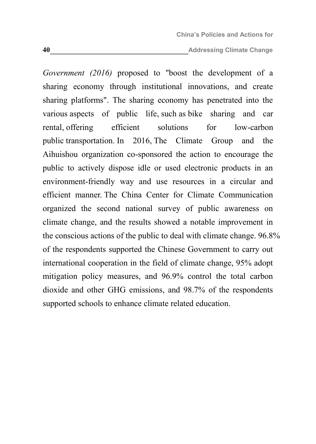*Government (2016)* proposed to "boost the development of a sharing economy through institutional innovations, and create sharing platforms". The sharing economy has penetrated into the various aspects of public life, such as bike sharing and car rental, offering efficient solutions for low-carbon public transportation. In 2016, The Climate Group and the Aihuishou organization co-sponsored the action to encourage the public to actively dispose idle or used electronic products in an environment-friendly way and use resources in a circular and efficient manner. The China Center for Climate Communication organized the second national survey of public awareness on climate change, and the results showed a notable improvement in the conscious actions of the public to deal with climate change. 96.8% of the respondents supported the Chinese Government to carry out international cooperation in the field of climate change, 95% adopt mitigation policy measures, and 96.9% control the total carbon dioxide and other GHG emissions, and 98.7% of the respondents supported schools to enhance climate related education.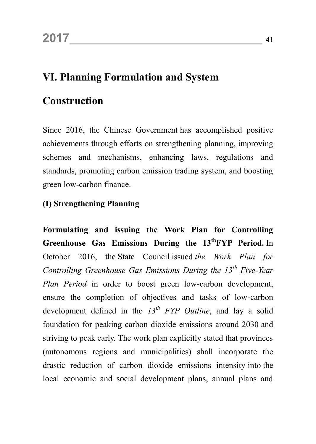## **VI. Planning Formulation and System**

## **Construction**

Since 2016, the Chinese Government has accomplished positive achievements through efforts on strengthening planning, improving schemes and mechanisms, enhancing laws, regulations and standards, promoting carbon emission trading system, and boosting green low-carbon finance.

### **(I) Strengthening Planning**

**Formulating and issuing the Work Plan for Controlling Greenhouse Gas Emissions During the 13th FYP Period.** In October 2016, the State Council issued *the Work Plan for Controlling Greenhouse Gas Emissions During the 13th Five-Year Plan Period* in order to boost green low-carbon development, ensure the completion of objectives and tasks of low-carbon development defined in the *13th FYP Outline*, and lay a solid foundation for peaking carbon dioxide emissions around 2030 and striving to peak early. The work plan explicitly stated that provinces (autonomous regions and municipalities) shall incorporate the drastic reduction of carbon dioxide emissions intensity into the local economic and social development plans, annual plans and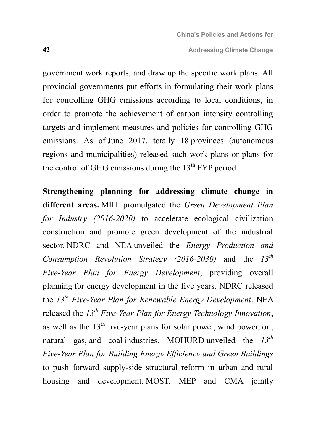government work reports, and draw up the specific work plans. All provincial governments put efforts in formulating their work plans for controlling GHG emissions according to local conditions, in order to promote the achievement of carbon intensity controlling targets and implement measures and policies for controlling GHG emissions. As of June 2017, totally 18 provinces (autonomous regions and municipalities) released such work plans or plans for the control of GHG emissions during the  $13<sup>th</sup> FYP$  period.

**Strengthening planning for addressing climate change in different areas.** MIIT promulgated the *Green Development Plan for Industry (2016-2020)* to accelerate ecological civilization construction and promote green development of the industrial sector. NDRC and NEA unveiled the *Energy Production and Consumption Revolution Strategy (2016-2030)* and the *13th Five-Year Plan for Energy Development*, providing overall planning for energy development in the five years. NDRC released the *13th Five-Year Plan for Renewable Energy Development*. NEA released the *13th Five-Year Plan for Energy Technology Innovation*, as well as the  $13<sup>th</sup>$  five-year plans for solar power, wind power, oil, natural gas, and coal industries. MOHURD unveiled the *13th Five-Year Plan for Building Energy Efficiency and Green Buildings* to push forward supply-side structural reform in urban and rural housing and development. MOST, MEP and CMA jointly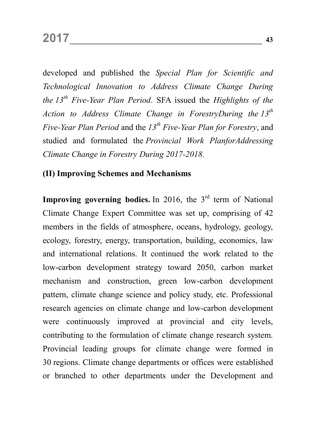developed and published the *Special Plan for Scientific and Technological Innovation to Address Climate Change During the 13th Five-Year Plan Period*. SFA issued the *Highlights of the Action to Address Climate Change in ForestryDuring the 13th Five-Year Plan Period* and the *13th Five-Year Plan for Forestry*, and studied and formulated the *Provincial Work PlanforAddressing Climate Change in Forestry During 2017-2018.*

### **(II) Improving Schemes and Mechanisms**

**Improving governing bodies.** In 2016, the 3<sup>rd</sup> term of National Climate Change Expert Committee was set up, comprising of 42 members in the fields of atmosphere, oceans, hydrology, geology, ecology, forestry, energy, transportation, building, economics, law and international relations. It continued the work related to the low-carbon development strategy toward 2050, carbon market mechanism and construction, green low-carbon development pattern, climate change science and policy study, etc. Professional research agencies on climate change and low-carbon development were continuously improved at provincial and city levels, contributing to the formulation of climate change research system. Provincial leading groups for climate change were formed in 30 regions. Climate change departments or offices were established or branched to other departments under the Development and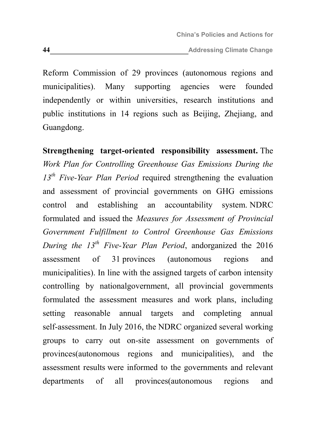Reform Commission of 29 provinces (autonomous regions and municipalities). Many supporting agencies were founded independently or within universities, research institutions and public institutions in 14 regions such as Beijing, Zhejiang, and Guangdong.

**Strengthening target-oriented responsibility assessment.** The *Work Plan for Controlling Greenhouse Gas Emissions During the 13th Five-Year Plan Period* required strengthening the evaluation and assessment of provincial governments on GHG emissions control and establishing an accountability system. NDRC formulated and issued the *Measures for Assessment of Provincial Government Fulfillment to Control Greenhouse Gas Emissions During the 13th Five-Year Plan Period*, andorganized the 2016 assessment of 31 provinces (autonomous regions and municipalities). In line with the assigned targets of carbon intensity controlling by nationalgovernment, all provincial governments formulated the assessment measures and work plans, including setting reasonable annual targets and completing annual self-assessment. In July 2016, the NDRC organized several working groups to carry out on-site assessment on governments of provinces(autonomous regions and municipalities), and the assessment results were informed to the governments and relevant departments of all provinces(autonomous regions and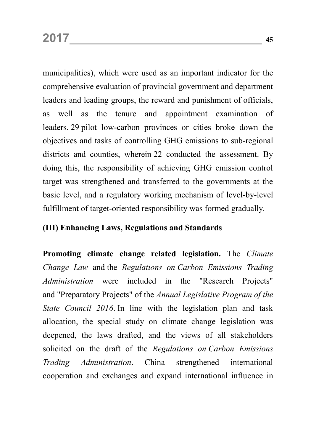municipalities), which were used as an important indicator for the comprehensive evaluation of provincial government and department leaders and leading groups, the reward and punishment of officials, as well as the tenure and appointment examination of leaders. 29 pilot low-carbon provinces or cities broke down the objectives and tasks of controlling GHG emissions to sub-regional districts and counties, wherein 22 conducted the assessment. By doing this, the responsibility of achieving GHG emission control target was strengthened and transferred to the governments at the basic level, and a regulatory working mechanism of level-by-level fulfillment of target-oriented responsibility was formed gradually.

### **(III) Enhancing Laws, Regulations and Standards**

**Promoting climate change related legislation.** The *Climate Change Law* and the *Regulations on Carbon Emissions Trading Administration* were included in the "Research Projects" and "Preparatory Projects" of the *Annual Legislative Program of the State Council 2016*. In line with the legislation plan and task allocation, the special study on climate change legislation was deepened, the laws drafted, and the views of all stakeholders solicited on the draft of the *Regulations on Carbon Emissions Trading Administration*. China strengthened international cooperation and exchanges and expand international influence in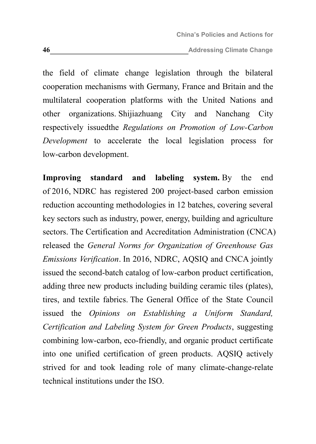the field of climate change legislation through the bilateral cooperation mechanisms with Germany, France and Britain and the multilateral cooperation platforms with the United Nations and other organizations. Shijiazhuang City and Nanchang City respectively issuedthe *Regulations on Promotion of Low-Carbon Development* to accelerate the local legislation process for low-carbon development.

**Improving standard and labeling system.** By the end of 2016, NDRC has registered 200 project-based carbon emission reduction accounting methodologies in 12 batches, covering several key sectors such as industry, power, energy, building and agriculture sectors. The Certification and Accreditation Administration (CNCA) released the *General Norms for Organization of Greenhouse Gas Emissions Verification*. In 2016, NDRC, AQSIQ and CNCA jointly issued the second-batch catalog of low-carbon product certification, adding three new products including building ceramic tiles (plates), tires, and textile fabrics. The General Office of the State Council issued the *Opinions on Establishing a Uniform Standard, Certification and Labeling System for Green Products*, suggesting combining low-carbon, eco-friendly, and organic product certificate into one unified certification of green products. AQSIQ actively strived for and took leading role of many climate-change-relate technical institutions under the ISO.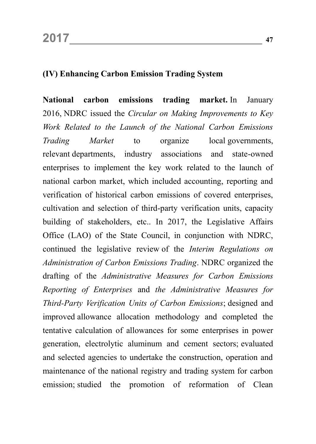### **(IV) Enhancing Carbon Emission Trading System**

**National carbon emissions trading market.** In January 2016, NDRC issued the *Circular on Making Improvements to Key Work Related to the Launch of the National Carbon Emissions Trading Market* to organize local governments, relevant departments, industry associations and state-owned enterprises to implement the key work related to the launch of national carbon market, which included accounting, reporting and verification of historical carbon emissions of covered enterprises, cultivation and selection of third-party verification units, capacity building of stakeholders, etc.. In 2017, the Legislative Affairs Office (LAO) of the State Council, in conjunction with NDRC, continued the legislative review of the *Interim Regulations on Administration of Carbon Emissions Trading*. NDRC organized the drafting of the *Administrative Measures for Carbon Emissions Reporting of Enterprises* and *the Administrative Measures for Third-Party Verification Units of Carbon Emissions*; designed and improved allowance allocation methodology and completed the tentative calculation of allowances for some enterprises in power generation, electrolytic aluminum and cement sectors; evaluated and selected agencies to undertake the construction, operation and maintenance of the national registry and trading system for carbon emission; studied the promotion of reformation of Clean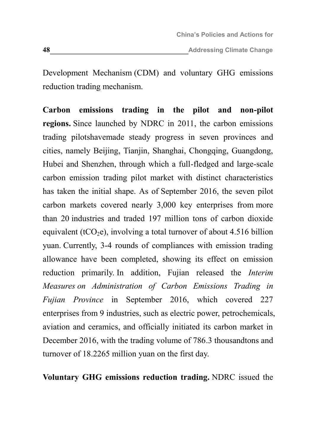Development Mechanism (CDM) and voluntary GHG emissions reduction trading mechanism.

**Carbon emissions trading in the pilot and non-pilot regions.** Since launched by NDRC in 2011, the carbon emissions trading pilotshavemade steady progress in seven provinces and cities, namely Beijing, Tianjin, Shanghai, Chongqing, Guangdong, Hubei and Shenzhen, through which a full-fledged and large-scale carbon emission trading pilot market with distinct characteristics has taken the initial shape. As of September 2016, the seven pilot carbon markets covered nearly 3,000 key enterprises from more than 20 industries and traded 197 million tons of carbon dioxide equivalent (tCO<sub>2</sub>e), involving a total turnover of about 4.516 billion yuan. Currently, 3-4 rounds of compliances with emission trading allowance have been completed, showing its effect on emission reduction primarily. In addition, Fujian released the *Interim Measures on Administration of Carbon Emissions Trading in Fujian Province* in September 2016, which covered 227 enterprises from 9 industries, such as electric power, petrochemicals, aviation and ceramics, and officially initiated its carbon market in December 2016, with the trading volume of 786.3 thousandtons and turnover of 18.2265 million yuan on the first day.

**Voluntary GHG emissions reduction trading.** NDRC issued the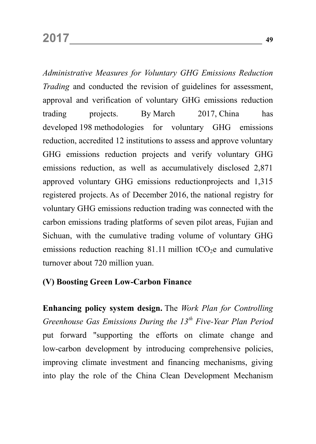*Administrative Measures for Voluntary GHG Emissions Reduction Trading* and conducted the revision of guidelines for assessment, approval and verification of voluntary GHG emissions reduction trading projects. By March 2017, China has developed 198 methodologies for voluntary GHG emissions reduction, accredited 12 institutions to assess and approve voluntary GHG emissions reduction projects and verify voluntary GHG emissions reduction, as well as accumulatively disclosed 2,871 approved voluntary GHG emissions reductionprojects and 1,315 registered projects. As of December 2016, the national registry for voluntary GHG emissions reduction trading was connected with the carbon emissions trading platforms of seven pilot areas, Fujian and Sichuan, with the cumulative trading volume of voluntary GHG emissions reduction reaching 81.11 million  $tCO<sub>2</sub>e$  and cumulative turnover about 720 million yuan.

### **(V) Boosting Green Low-Carbon Finance**

**Enhancing policy system design.** The *Work Plan for Controlling Greenhouse Gas Emissions During the 13th Five-Year Plan Period* put forward "supporting the efforts on climate change and low-carbon development by introducing comprehensive policies, improving climate investment and financing mechanisms, giving into play the role of the China Clean Development Mechanism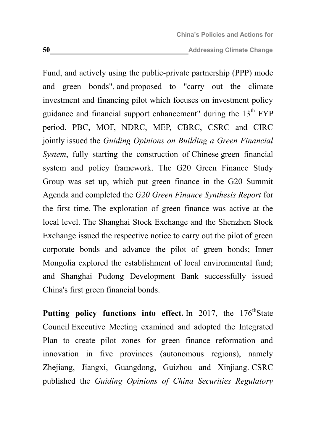Fund, and actively using the public-private partnership (PPP) mode and green bonds", and proposed to "carry out the climate investment and financing pilot which focuses on investment policy guidance and financial support enhancement" during the  $13<sup>th</sup> FYP$ period. PBC, MOF, NDRC, MEP, CBRC, CSRC and CIRC jointly issued the *Guiding Opinions on Building a Green Financial System*, fully starting the construction of Chinese green financial system and policy framework. The G20 Green Finance Study Group was set up, which put green finance in the G20 Summit Agenda and completed the *G20 Green Finance Synthesis Report* for the first time. The exploration of green finance was active at the local level. The Shanghai Stock Exchange and the Shenzhen Stock Exchange issued the respective notice to carry out the pilot of green corporate bonds and advance the pilot of green bonds; Inner Mongolia explored the establishment of local environmental fund; and Shanghai Pudong Development Bank successfully issued China's first green financial bonds.

**Putting policy functions into effect.** In 2017, the 176<sup>th</sup>State Council Executive Meeting examined and adopted the Integrated Plan to create pilot zones for green finance reformation and innovation in five provinces (autonomous regions), namely Zhejiang, Jiangxi, Guangdong, Guizhou and Xinjiang. CSRC published the *Guiding Opinions of China Securities Regulatory*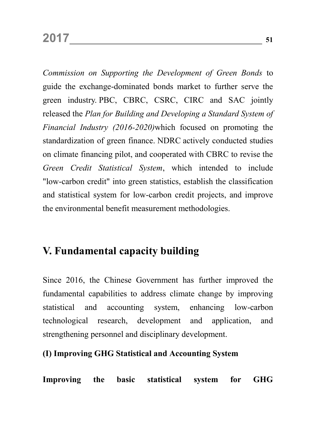*Commission on Supporting the Development of Green Bonds* to guide the exchange-dominated bonds market to further serve the green industry. PBC, CBRC, CSRC, CIRC and SAC jointly released the *Plan for Building and Developing a Standard System of Financial Industry (2016-2020)*which focused on promoting the standardization of green finance. NDRC actively conducted studies on climate financing pilot, and cooperated with CBRC to revise the *Green Credit Statistical System*, which intended to include "low-carbon credit" into green statistics, establish the classification and statistical system for low-carbon credit projects, and improve the environmental benefit measurement methodologies.

### **V. Fundamental capacity building**

Since 2016, the Chinese Government has further improved the fundamental capabilities to address climate change by improving statistical and accounting system, enhancing low-carbon technological research, development and application, and strengthening personnel and disciplinary development.

### **(I) Improving GHG Statistical and Accounting System**

**Improving the basic statistical system for GHG**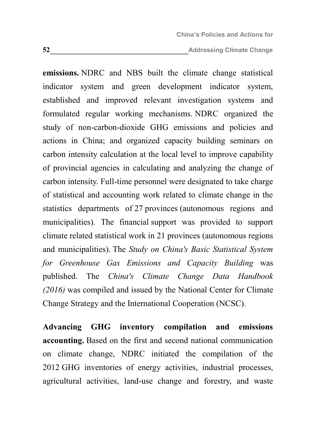**emissions.** NDRC and NBS built the climate change statistical indicator system and green development indicator system, established and improved relevant investigation systems and formulated regular working mechanisms. NDRC organized the study of non-carbon-dioxide GHG emissions and policies and actions in China; and organized capacity building seminars on carbon intensity calculation at the local level to improve capability of provincial agencies in calculating and analyzing the change of carbon intensity. Full-time personnel were designated to take charge of statistical and accounting work related to climate change in the statistics departments of 27 provinces (autonomous regions and municipalities). The financial support was provided to support climate related statistical work in 21 provinces (autonomous regions and municipalities). The *Study on China's Basic Statistical System for Greenhouse Gas Emissions and Capacity Building* was published. The *China's Climate Change Data Handbook (2016)* was compiled and issued by the National Center for Climate Change Strategy and the International Cooperation (NCSC).

**Advancing GHG inventory compilation and emissions accounting.** Based on the first and second national communication on climate change, NDRC initiated the compilation of the 2012 GHG inventories of energy activities, industrial processes, agricultural activities, land-use change and forestry, and waste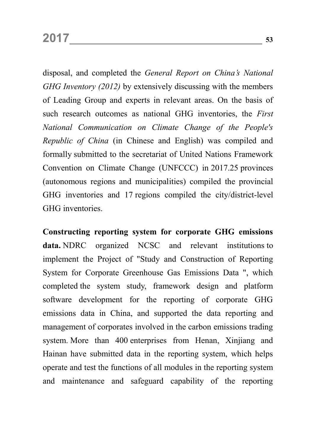disposal, and completed the *General Report on China's National GHG Inventory (2012)* by extensively discussing with the members of Leading Group and experts in relevant areas. On the basis of such research outcomes as national GHG inventories, the *First National Communication on Climate Change of the People's Republic of China* (in Chinese and English) was compiled and formally submitted to the secretariat of United Nations Framework Convention on Climate Change (UNFCCC) in 2017.25 provinces (autonomous regions and municipalities) compiled the provincial GHG inventories and 17 regions compiled the city/district-level GHG inventories.

**Constructing reporting system for corporate GHG emissions data.** NDRC organized NCSC and relevant institutions to implement the Project of "Study and Construction of Reporting System for Corporate Greenhouse Gas Emissions Data ", which completed the system study, framework design and platform software development for the reporting of corporate GHG emissions data in China, and supported the data reporting and management of corporates involved in the carbon emissions trading system. More than 400 enterprises from Henan, Xinjiang and Hainan have submitted data in the reporting system, which helps operate and test the functions of all modules in the reporting system and maintenance and safeguard capability of the reporting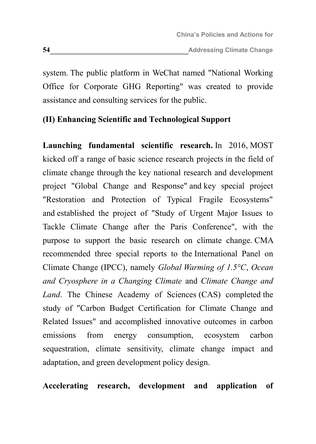system. The public platform in WeChat named "National Working Office for Corporate GHG Reporting" was created to provide assistance and consulting services for the public.

### **(II) Enhancing Scientific and Technological Support**

**Launching fundamental scientific research.** In 2016, MOST kicked off a range of basic science research projects in the field of climate change through the key national research and development project "Global Change and Response" and key special project "Restoration and Protection of Typical Fragile Ecosystems" and established the project of "Study of Urgent Major Issues to Tackle Climate Change after the Paris Conference", with the purpose to support the basic research on climate change. CMA recommended three special reports to the International Panel on Climate Change (IPCC), namely *Global Warming of 1.5°C*, *Ocean and Cryosphere in a Changing Climate* and *Climate Change and Land*. The Chinese Academy of Sciences (CAS) completed the study of "Carbon Budget Certification for Climate Change and Related Issues" and accomplished innovative outcomes in carbon emissions from energy consumption, ecosystem carbon sequestration, climate sensitivity, climate change impact and adaptation, and green development policy design.

**Accelerating research, development and application of**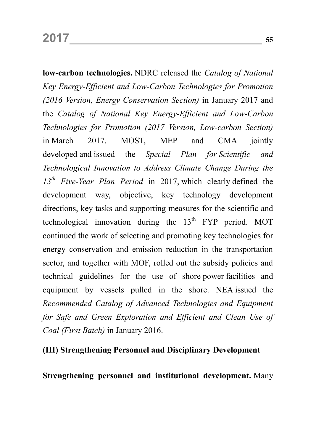**low-carbon technologies.** NDRC released the *Catalog of National Key Energy-Efficient and Low-Carbon Technologies for Promotion (2016 Version, Energy Conservation Section)* in January 2017 and the *Catalog of National Key Energy-Efficient and Low-Carbon Technologies for Promotion (2017 Version, Low-carbon Section)* in March 2017. MOST, MEP and CMA jointly developed and issued the *Special Plan for Scientific and Technological Innovation to Address Climate Change During the 13th Five-Year Plan Period* in 2017, which clearly defined the development way, objective, key technology development directions, key tasks and supporting measures for the scientific and technological innovation during the  $13<sup>th</sup>$  FYP period. MOT continued the work of selecting and promoting key technologies for energy conservation and emission reduction in the transportation sector, and together with MOF, rolled out the subsidy policies and technical guidelines for the use of shore power facilities and equipment by vessels pulled in the shore. NEA issued the *Recommended Catalog of Advanced Technologies and Equipment for Safe and Green Exploration and Efficient and Clean Use of Coal (First Batch)* in January 2016.

#### **(III) Strengthening Personnel and Disciplinary Development**

**Strengthening personnel and institutional development.** Many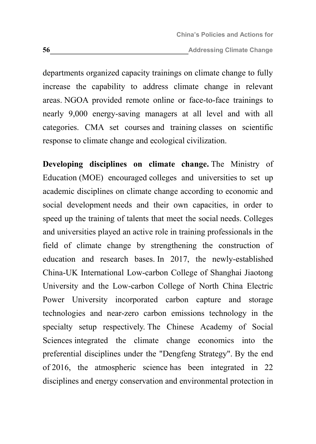departments organized capacity trainings on climate change to fully increase the capability to address climate change in relevant areas. NGOA provided remote online or face-to-face trainings to nearly 9,000 energy-saving managers at all level and with all categories. CMA set courses and training classes on scientific response to climate change and ecological civilization.

**Developing disciplines on climate change.** The Ministry of Education (MOE) encouraged colleges and universities to set up academic disciplines on climate change according to economic and social development needs and their own capacities, in order to speed up the training of talents that meet the social needs. Colleges and universities played an active role in training professionals in the field of climate change by strengthening the construction of education and research bases. In 2017, the newly-established China-UK International Low-carbon College of Shanghai Jiaotong University and the Low-carbon College of North China Electric Power University incorporated carbon capture and storage technologies and near-zero carbon emissions technology in the specialty setup respectively. The Chinese Academy of Social Sciences integrated the climate change economics into the preferential disciplines under the "Dengfeng Strategy". By the end of 2016, the atmospheric science has been integrated in 22 disciplines and energy conservation and environmental protection in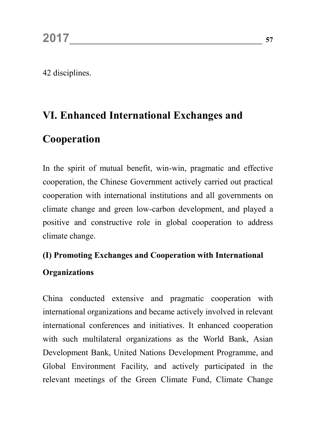42 disciplines.

## **VI. Enhanced International Exchanges and**

## **Cooperation**

In the spirit of mutual benefit, win-win, pragmatic and effective cooperation, the Chinese Government actively carried out practical cooperation with international institutions and all governments on climate change and green low-carbon development, and played a positive and constructive role in global cooperation to address climate change.

### **(I) Promoting Exchanges and Cooperation with International**

### **Organizations**

China conducted extensive and pragmatic cooperation with international organizations and became actively involved in relevant international conferences and initiatives. It enhanced cooperation with such multilateral organizations as the World Bank, Asian Development Bank, United Nations Development Programme, and Global Environment Facility, and actively participated in the relevant meetings of the Green Climate Fund, Climate Change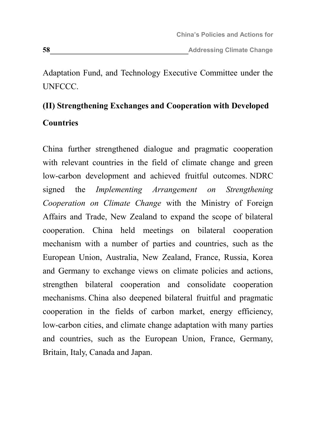Adaptation Fund, and Technology Executive Committee under the UNFCCC.

# **(II) Strengthening Exchanges and Cooperation with Developed Countries**

China further strengthened dialogue and pragmatic cooperation with relevant countries in the field of climate change and green low-carbon development and achieved fruitful outcomes. NDRC signed the *Implementing Arrangement on Strengthening Cooperation on Climate Change* with the Ministry of Foreign Affairs and Trade, New Zealand to expand the scope of bilateral cooperation. China held meetings on bilateral cooperation mechanism with a number of parties and countries, such as the European Union, Australia, New Zealand, France, Russia, Korea and Germany to exchange views on climate policies and actions, strengthen bilateral cooperation and consolidate cooperation mechanisms. China also deepened bilateral fruitful and pragmatic cooperation in the fields of carbon market, energy efficiency, low-carbon cities, and climate change adaptation with many parties and countries, such as the European Union, France, Germany, Britain, Italy, Canada and Japan.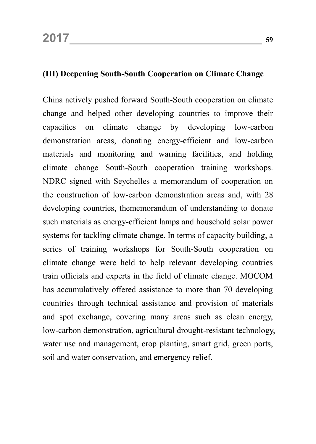### **(III) Deepening South-South Cooperation on Climate Change**

China actively pushed forward South-South cooperation on climate change and helped other developing countries to improve their capacities on climate change by developing low-carbon demonstration areas, donating energy-efficient and low-carbon materials and monitoring and warning facilities, and holding climate change South-South cooperation training workshops. NDRC signed with Seychelles a memorandum of cooperation on the construction of low-carbon demonstration areas and, with 28 developing countries, thememorandum of understanding to donate such materials as energy-efficient lamps and household solar power systems for tackling climate change. In terms of capacity building, a series of training workshops for South-South cooperation on climate change were held to help relevant developing countries train officials and experts in the field of climate change. MOCOM has accumulatively offered assistance to more than 70 developing countries through technical assistance and provision of materials and spot exchange, covering many areas such as clean energy, low-carbon demonstration, agricultural drought-resistant technology, water use and management, crop planting, smart grid, green ports, soil and water conservation, and emergency relief.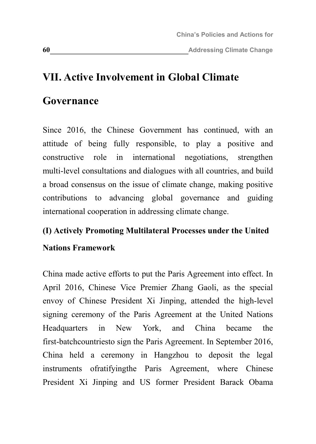## **VII. Active Involvement in Global Climate**

### **Governance**

Since 2016, the Chinese Government has continued, with an attitude of being fully responsible, to play a positive and constructive role in international negotiations, strengthen multi-level consultations and dialogues with all countries, and build a broad consensus on the issue of climate change, making positive contributions to advancing global governance and guiding international cooperation in addressing climate change.

### **(I) Actively Promoting Multilateral Processes under the United**

### **Nations Framework**

China made active efforts to put the Paris Agreement into effect. In April 2016, Chinese Vice Premier Zhang Gaoli, as the special envoy of Chinese President Xi Jinping, attended the high-level signing ceremony of the Paris Agreement at the United Nations Headquarters in New York, and China became the first-batchcountriesto sign the Paris Agreement. In September 2016, China held a ceremony in Hangzhou to deposit the legal instruments ofratifyingthe Paris Agreement, where Chinese President Xi Jinping and US former President Barack Obama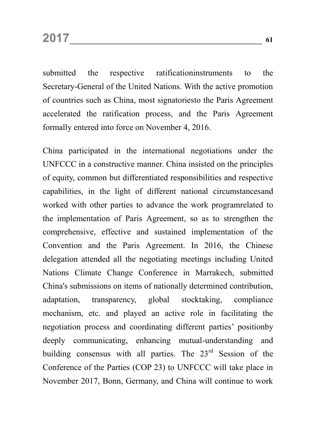submitted the respective ratificationinstruments to the Secretary-General of the United Nations. With the active promotion of countries such as China, most signatoriesto the Paris Agreement accelerated the ratification process, and the Paris Agreement formally entered into force on November 4, 2016.

China participated in the international negotiations under the UNFCCC in a constructive manner. China insisted on the principles of equity, common but differentiated responsibilities and respective capabilities, in the light of different national circumstancesand worked with other parties to advance the work programrelated to the implementation of Paris Agreement, so as to strengthen the comprehensive, effective and sustained implementation of the Convention and the Paris Agreement. In 2016, the Chinese delegation attended all the negotiating meetings including United Nations Climate Change Conference in Marrakech, submitted China's submissions on items of nationally determined contribution, adaptation, transparency, global stocktaking, compliance mechanism, etc. and played an active role in facilitating the negotiation process and coordinating different parties' positionby deeply communicating, enhancing mutual-understanding and building consensus with all parties. The 23<sup>rd</sup> Session of the Conference of the Parties (COP 23) to UNFCCC will take place in November 2017, Bonn, Germany, and China will continue to work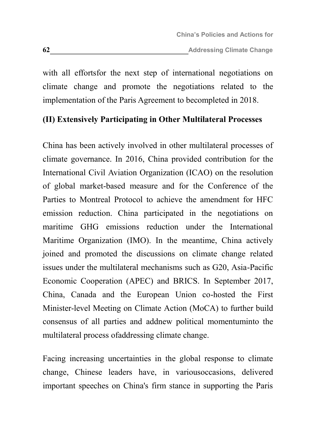with all effortsfor the next step of international negotiations on climate change and promote the negotiations related to the implementation of the Paris Agreement to becompleted in 2018.

### **(II) Extensively Participating in Other Multilateral Processes**

China has been actively involved in other multilateral processes of climate governance. In 2016, China provided contribution for the International Civil Aviation Organization (ICAO) on the resolution of global market-based measure and for the Conference of the Parties to Montreal Protocol to achieve the amendment for HFC emission reduction. China participated in the negotiations on maritime GHG emissions reduction under the International Maritime Organization (IMO). In the meantime, China actively joined and promoted the discussions on climate change related issues under the multilateral mechanisms such as G20, Asia-Pacific Economic Cooperation (APEC) and BRICS. In September 2017, China, Canada and the European Union co-hosted the First Minister-level Meeting on Climate Action (MoCA) to further build consensus of all parties and addnew political momentuminto the multilateral process ofaddressing climate change.

Facing increasing uncertainties in the global response to climate change, Chinese leaders have, in variousoccasions, delivered important speeches on China's firm stance in supporting the Paris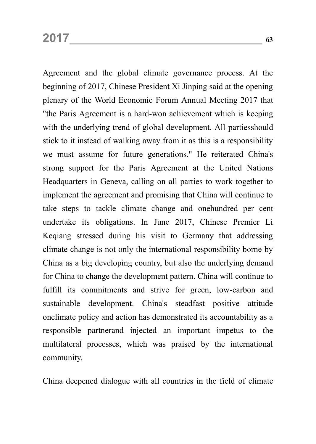Agreement and the global climate governance process. At the beginning of 2017, Chinese President Xi Jinping said at the opening plenary of the World Economic Forum Annual Meeting 2017 that "the Paris Agreement is a hard-won achievement which is keeping with the underlying trend of global development. All partiesshould stick to it instead of walking away from it as this is a responsibility we must assume for future generations." He reiterated China's strong support for the Paris Agreement at the United Nations Headquarters in Geneva, calling on all parties to work together to implement the agreement and promising that China will continue to take steps to tackle climate change and onehundred per cent undertake its obligations. In June 2017, Chinese Premier Li Keqiang stressed during his visit to Germany that addressing climate change is not only the international responsibility borne by China as a big developing country, but also the underlying demand for China to change the development pattern. China will continue to fulfill its commitments and strive for green, low-carbon and sustainable development. China's steadfast positive attitude onclimate policy and action has demonstrated its accountability as a responsible partnerand injected an important impetus to the multilateral processes, which was praised by the international community.

China deepened dialogue with all countries in the field of climate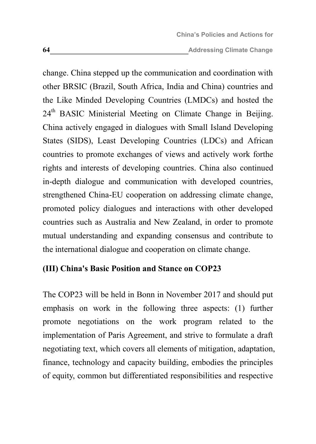change. China stepped up the communication and coordination with other BRSIC (Brazil, South Africa, India and China) countries and the Like Minded Developing Countries (LMDCs) and hosted the 24<sup>th</sup> BASIC Ministerial Meeting on Climate Change in Beijing. China actively engaged in dialogues with Small Island Developing States (SIDS), Least Developing Countries (LDCs) and African countries to promote exchanges of views and actively work forthe rights and interests of developing countries. China also continued in-depth dialogue and communication with developed countries, strengthened China-EU cooperation on addressing climate change, promoted policy dialogues and interactions with other developed countries such as Australia and New Zealand, in order to promote mutual understanding and expanding consensus and contribute to the international dialogue and cooperation on climate change.

### **(III) China's Basic Position and Stance on COP23**

The COP23 will be held in Bonn in November 2017 and should put emphasis on work in the following three aspects: (1) further promote negotiations on the work program related to the implementation of Paris Agreement, and strive to formulate a draft negotiating text, which covers all elements of mitigation, adaptation, finance, technology and capacity building, embodies the principles of equity, common but differentiated responsibilities and respective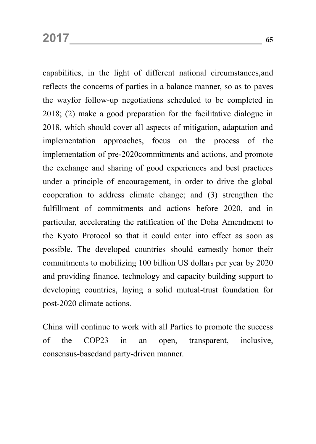capabilities, in the light of different national circumstances,and reflects the concerns of parties in a balance manner, so as to paves the wayfor follow-up negotiations scheduled to be completed in 2018; (2) make a good preparation for the facilitative dialogue in 2018, which should cover all aspects of mitigation, adaptation and implementation approaches, focus on the process of the implementation of pre-2020commitments and actions, and promote the exchange and sharing of good experiences and best practices under a principle of encouragement, in order to drive the global cooperation to address climate change; and (3) strengthen the fulfillment of commitments and actions before 2020, and in particular, accelerating the ratification of the Doha Amendment to the Kyoto Protocol so that it could enter into effect as soon as possible. The developed countries should earnestly honor their commitments to mobilizing 100 billion US dollars per year by 2020 and providing finance, technology and capacity building support to developing countries, laying a solid mutual-trust foundation for post-2020 climate actions.

China will continue to work with all Parties to promote the success of the COP23 in an open, transparent, inclusive, consensus-basedand party-driven manner.